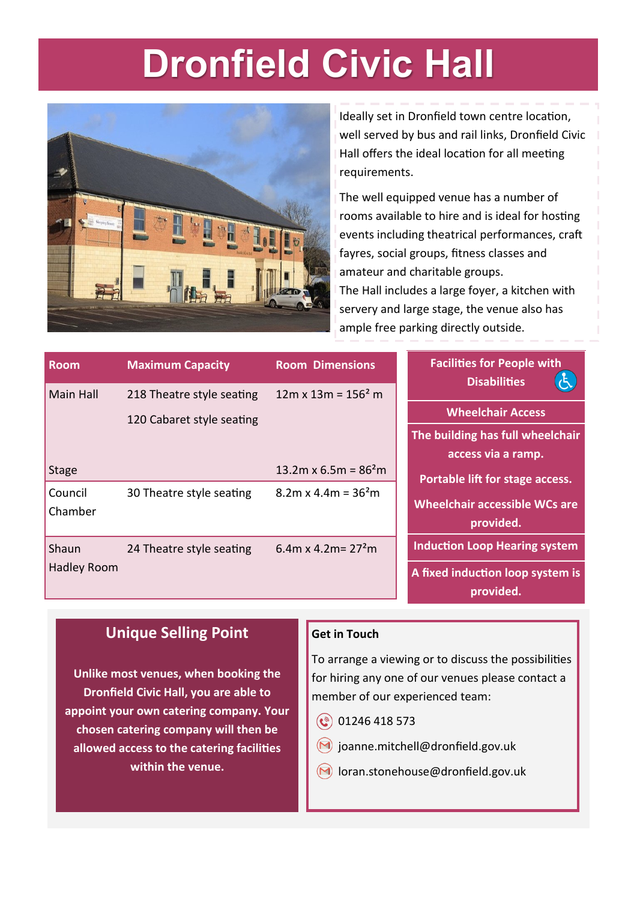### **Dronfield Civic Hall**



Ideally set in Dronfield town centre location, well served by bus and rail links, Dronfield Civic Hall offers the ideal location for all meeting requirements.

The well equipped venue has a number of rooms available to hire and is ideal for hosting events including theatrical performances, craft fayres, social groups, fitness classes and amateur and charitable groups. The Hall includes a large foyer, a kitchen with servery and large stage, the venue also has ample free parking directly outside.

| <b>Room</b>        | <b>Maximum Capacity</b>   | <b>Room Dimensions</b>     | <b>Facilities for People with</b><br><b>Disabilities</b> |
|--------------------|---------------------------|----------------------------|----------------------------------------------------------|
| Main Hall          | 218 Theatre style seating | $12m \times 13m = 156^2 m$ |                                                          |
|                    | 120 Cabaret style seating |                            | <b>Wheelchair Access</b>                                 |
|                    |                           |                            | The building has full wheelchair                         |
|                    |                           |                            | access via a ramp.                                       |
| <b>Stage</b>       |                           | 13.2m x 6.5m = $862$ m     | Portable lift for stage access.                          |
| Council            | 30 Theatre style seating  | $8.2m \times 4.4m = 362m$  |                                                          |
| Chamber            |                           |                            | <b>Wheelchair accessible WCs are</b>                     |
|                    |                           |                            | provided.                                                |
| Shaun              | 24 Theatre style seating  | 6.4m x 4.2m = $272$ m      | <b>Induction Loop Hearing system</b>                     |
| <b>Hadley Room</b> |                           |                            | A fixed induction loop system is<br>provided.            |

### **Unique Selling Point**

**Get in Touch**

**Unlike most venues, when booking the Dronfield Civic Hall, you are able to appoint your own catering company. Your chosen catering company will then be allowed access to the catering facilities within the venue.**

#### To arrange a viewing or to discuss the possibilities for hiring any one of our venues please contact a member of our experienced team:

- $\circled{0}$  01246 418 573
- $(M)$  joanne.mitchell@dronfield.gov.uk
- $(M)$  loran.stonehouse@dronfield.gov.uk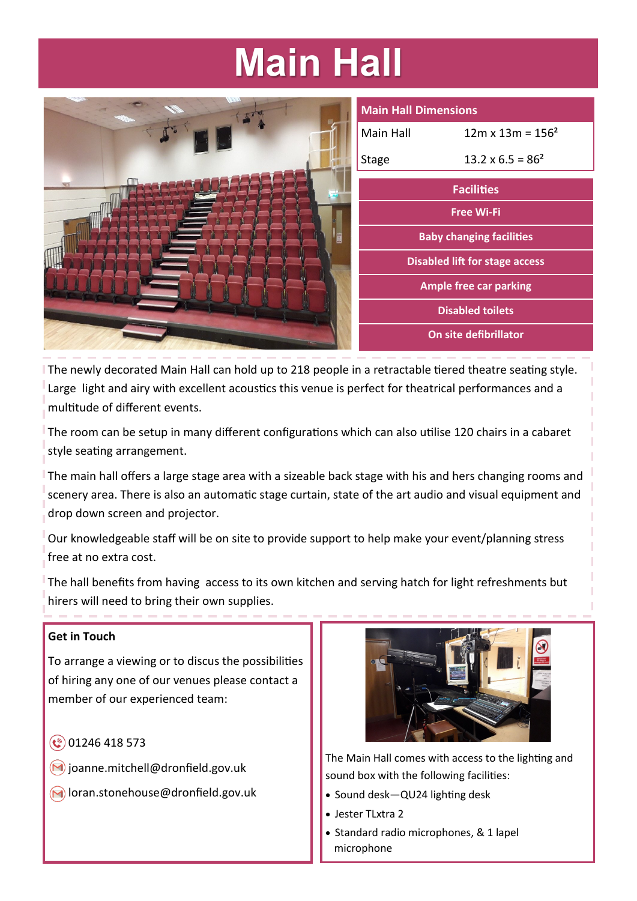# **Main Hall**

|           | M                       |
|-----------|-------------------------|
|           | $\overline{\mathsf{M}}$ |
|           | St                      |
| <b>NO</b> |                         |
|           |                         |
| Ė         |                         |
|           |                         |
|           |                         |
|           |                         |
|           |                         |

| <b>Main Hall Dimensions</b>     |                          |  |  |  |
|---------------------------------|--------------------------|--|--|--|
| Main Hall                       | $12m \times 13m = 156^2$ |  |  |  |
| Stage                           | $13.2 \times 6.5 = 86^2$ |  |  |  |
| <b>Facilities</b>               |                          |  |  |  |
| Free Wi-Fi                      |                          |  |  |  |
| <b>Baby changing facilities</b> |                          |  |  |  |
| Disabled lift for stage access  |                          |  |  |  |
| <b>Ample free car parking</b>   |                          |  |  |  |
| <b>Disabled toilets</b>         |                          |  |  |  |
| On site defibrillator           |                          |  |  |  |

The newly decorated Main Hall can hold up to 218 people in a retractable tiered theatre seating style. Large light and airy with excellent acoustics this venue is perfect for theatrical performances and a multitude of different events.

The room can be setup in many different configurations which can also utilise 120 chairs in a cabaret style seating arrangement.

The main hall offers a large stage area with a sizeable back stage with his and hers changing rooms and scenery area. There is also an automatic stage curtain, state of the art audio and visual equipment and drop down screen and projector.

Our knowledgeable staff will be on site to provide support to help make your event/planning stress free at no extra cost.

The hall benefits from having access to its own kitchen and serving hatch for light refreshments but hirers will need to bring their own supplies.

#### **Get in Touch**

To arrange a viewing or to discus the possibilities of hiring any one of our venues please contact a member of our experienced team:

- $\circledcirc$  01246 418 573
- $\bigcirc$  joanne.mitchell@dronfield.gov.uk
- **M** loran.stonehouse@dronfield.gov.uk



The Main Hall comes with access to the lighting and sound box with the following facilities:

- Sound desk—QU24 lighting desk
- Jester TLxtra 2
- Standard radio microphones, & 1 lapel microphone